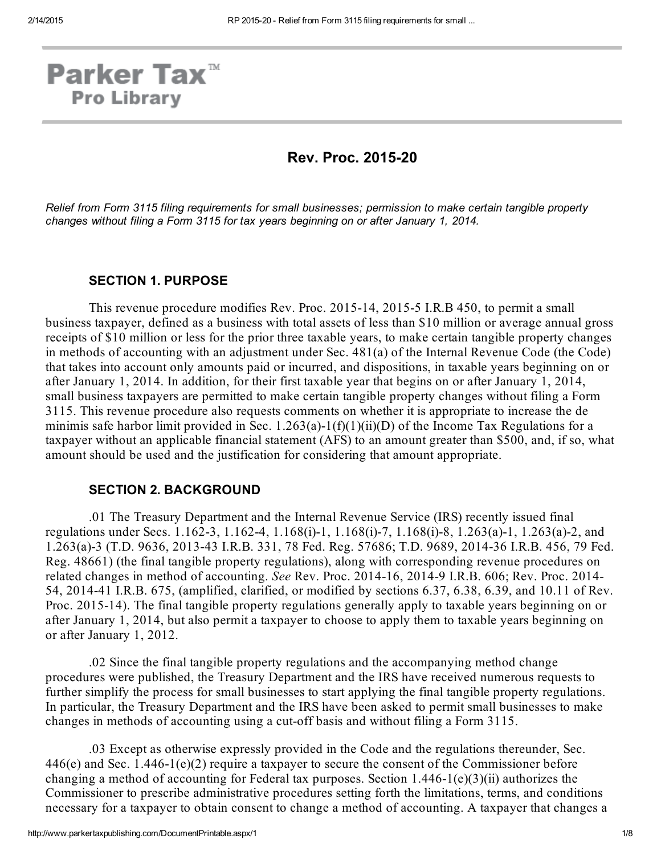# **Parker Tax**<sup>™</sup> **Pro Library**

# **Rev. Proc. 2015-20**

*Relief from Form 3115 filing requirements for small businesses; permission to make certain tangible property changes without filing a Form 3115 for tax years beginning on or after January 1, 2014.*

#### SECTION 1. PURPOSE

This revenue procedure modifies Rev. Proc. 2015-14, 2015-5 I.R.B 450, to permit a small business taxpayer, defined as a business with total assets of less than \$10 million or average annual gross receipts of \$10 million or less for the prior three taxable years, to make certain tangible property changes in methods of accounting with an adjustment under Sec. 481(a) of the Internal Revenue Code (the Code) that takes into account only amounts paid or incurred, and dispositions, in taxable years beginning on or after January 1, 2014. In addition, for their first taxable year that begins on or after January 1, 2014, small business taxpayers are permitted to make certain tangible property changes without filing a Form 3115. This revenue procedure also requests comments on whether it is appropriate to increase the de minimis safe harbor limit provided in Sec. 1.263(a)-1(f)(1)(ii)(D) of the Income Tax Regulations for a taxpayer without an applicable financial statement (AFS) to an amount greater than \$500, and, if so, what amount should be used and the justification for considering that amount appropriate.

#### SECTION 2. BACKGROUND

.01 The Treasury Department and the Internal Revenue Service (IRS) recently issued final regulations under Secs. 1.162-3, 1.162-4, 1.168(i)-1, 1.168(i)-7, 1.168(i)-8, 1.263(a)-1, 1.263(a)-2, and 1.263(a)3 (T.D. 9636, 201343 I.R.B. 331, 78 Fed. Reg. 57686; T.D. 9689, 201436 I.R.B. 456, 79 Fed. Reg. 48661) (the final tangible property regulations), along with corresponding revenue procedures on related changes in method of accounting. See Rev. Proc. 2014-16, 2014-9 I.R.B. 606; Rev. Proc. 2014-54, 201441 I.R.B. 675, (amplified, clarified, or modified by sections 6.37, 6.38, 6.39, and 10.11 of Rev. Proc. 2015-14). The final tangible property regulations generally apply to taxable years beginning on or after January 1, 2014, but also permit a taxpayer to choose to apply them to taxable years beginning on or after January 1, 2012.

.02 Since the final tangible property regulations and the accompanying method change procedures were published, the Treasury Department and the IRS have received numerous requests to further simplify the process for small businesses to start applying the final tangible property regulations. In particular, the Treasury Department and the IRS have been asked to permit small businesses to make changes in methods of accounting using a cutoff basis and without filing a Form 3115.

.03 Except as otherwise expressly provided in the Code and the regulations thereunder, Sec.  $446(e)$  and Sec. 1.446-1(e)(2) require a taxpayer to secure the consent of the Commissioner before changing a method of accounting for Federal tax purposes. Section  $1.446-1(e)(3)(ii)$  authorizes the Commissioner to prescribe administrative procedures setting forth the limitations, terms, and conditions necessary for a taxpayer to obtain consent to change a method of accounting. A taxpayer that changes a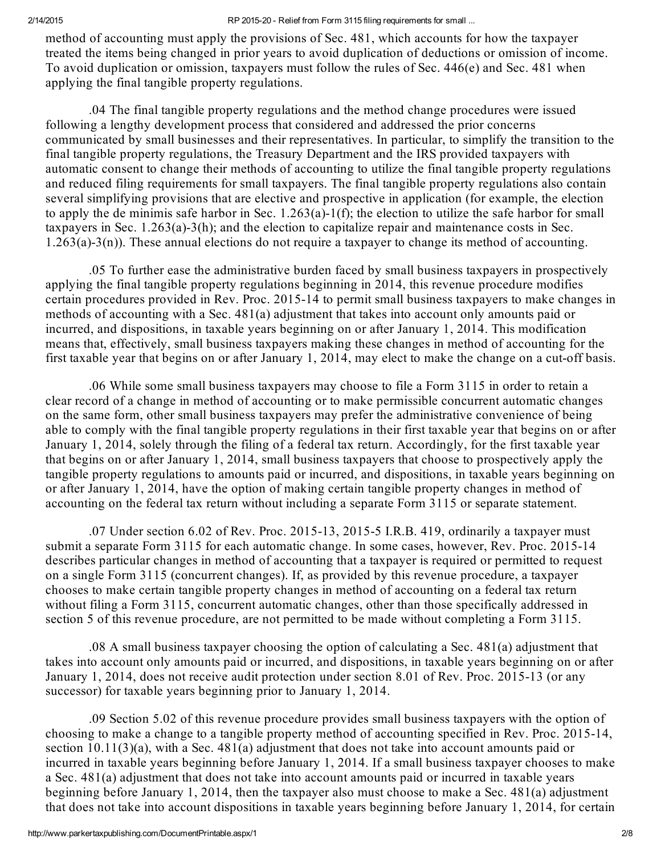method of accounting must apply the provisions of Sec. 481, which accounts for how the taxpayer treated the items being changed in prior years to avoid duplication of deductions or omission of income. To avoid duplication or omission, taxpayers must follow the rules of Sec. 446(e) and Sec. 481 when applying the final tangible property regulations.

.04 The final tangible property regulations and the method change procedures were issued following a lengthy development process that considered and addressed the prior concerns communicated by small businesses and their representatives. In particular, to simplify the transition to the final tangible property regulations, the Treasury Department and the IRS provided taxpayers with automatic consent to change their methods of accounting to utilize the final tangible property regulations and reduced filing requirements for small taxpayers. The final tangible property regulations also contain several simplifying provisions that are elective and prospective in application (for example, the election to apply the de minimis safe harbor in Sec.  $1.263(a)-1(f)$ ; the election to utilize the safe harbor for small taxpayers in Sec.  $1.263(a)-3(h)$ ; and the election to capitalize repair and maintenance costs in Sec.  $1.263(a)-3(n)$ ). These annual elections do not require a taxpayer to change its method of accounting.

.05 To further ease the administrative burden faced by small business taxpayers in prospectively applying the final tangible property regulations beginning in 2014, this revenue procedure modifies certain procedures provided in Rev. Proc. 2015-14 to permit small business taxpayers to make changes in methods of accounting with a Sec. 481(a) adjustment that takes into account only amounts paid or incurred, and dispositions, in taxable years beginning on or after January 1, 2014. This modification means that, effectively, small business taxpayers making these changes in method of accounting for the first taxable year that begins on or after January 1, 2014, may elect to make the change on a cutoff basis.

.06 While some small business taxpayers may choose to file a Form 3115 in order to retain a clear record of a change in method of accounting or to make permissible concurrent automatic changes on the same form, other small business taxpayers may prefer the administrative convenience of being able to comply with the final tangible property regulations in their first taxable year that begins on or after January 1, 2014, solely through the filing of a federal tax return. Accordingly, for the first taxable year that begins on or after January 1, 2014, small business taxpayers that choose to prospectively apply the tangible property regulations to amounts paid or incurred, and dispositions, in taxable years beginning on or after January 1, 2014, have the option of making certain tangible property changes in method of accounting on the federal tax return without including a separate Form 3115 or separate statement.

.07 Under section  $6.02$  of Rev. Proc. 2015-13, 2015-5 I.R.B. 419, ordinarily a taxpayer must submit a separate Form 3115 for each automatic change. In some cases, however, Rev. Proc. 2015-14 describes particular changes in method of accounting that a taxpayer is required or permitted to request on a single Form 3115 (concurrent changes). If, as provided by this revenue procedure, a taxpayer chooses to make certain tangible property changes in method of accounting on a federal tax return without filing a Form 3115, concurrent automatic changes, other than those specifically addressed in section 5 of this revenue procedure, are not permitted to be made without completing a Form 3115.

.08 A small business taxpayer choosing the option of calculating a Sec. 481(a) adjustment that takes into account only amounts paid or incurred, and dispositions, in taxable years beginning on or after January 1, 2014, does not receive audit protection under section 8.01 of Rev. Proc. 2015-13 (or any successor) for taxable years beginning prior to January 1, 2014.

.09 Section 5.02 of this revenue procedure provides small business taxpayers with the option of choosing to make a change to a tangible property method of accounting specified in Rev. Proc. 201514, section 10.11(3)(a), with a Sec. 481(a) adjustment that does not take into account amounts paid or incurred in taxable years beginning before January 1, 2014. If a small business taxpayer chooses to make a Sec. 481(a) adjustment that does not take into account amounts paid or incurred in taxable years beginning before January 1, 2014, then the taxpayer also must choose to make a Sec. 481(a) adjustment that does not take into account dispositions in taxable years beginning before January 1, 2014, for certain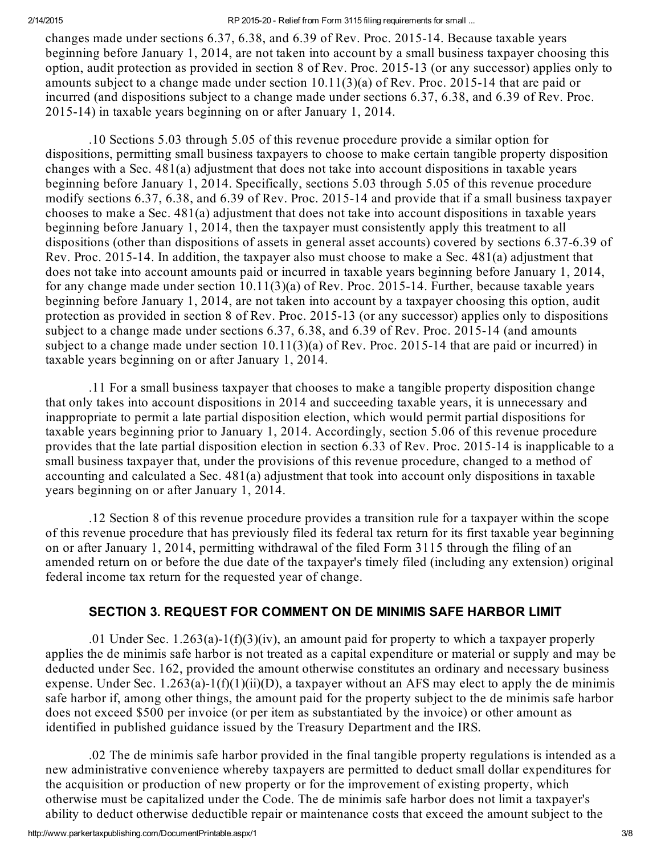changes made under sections 6.37, 6.38, and 6.39 of Rev. Proc. 2015-14. Because taxable years beginning before January 1, 2014, are not taken into account by a small business taxpayer choosing this option, audit protection as provided in section 8 of Rev. Proc. 201513 (or any successor) applies only to amounts subject to a change made under section  $10.11(3)(a)$  of Rev. Proc. 2015-14 that are paid or incurred (and dispositions subject to a change made under sections 6.37, 6.38, and 6.39 of Rev. Proc. 201514) in taxable years beginning on or after January 1, 2014.

.10 Sections 5.03 through 5.05 of this revenue procedure provide a similar option for dispositions, permitting small business taxpayers to choose to make certain tangible property disposition changes with a Sec. 481(a) adjustment that does not take into account dispositions in taxable years beginning before January 1, 2014. Specifically, sections 5.03 through 5.05 of this revenue procedure modify sections 6.37, 6.38, and 6.39 of Rev. Proc. 2015-14 and provide that if a small business taxpayer chooses to make a Sec. 481(a) adjustment that does not take into account dispositions in taxable years beginning before January 1, 2014, then the taxpayer must consistently apply this treatment to all dispositions (other than dispositions of assets in general asset accounts) covered by sections 6.37-6.39 of Rev. Proc. 2015-14. In addition, the taxpayer also must choose to make a Sec.  $481(a)$  adjustment that does not take into account amounts paid or incurred in taxable years beginning before January 1, 2014, for any change made under section  $10.11(3)(a)$  of Rev. Proc. 2015-14. Further, because taxable years beginning before January 1, 2014, are not taken into account by a taxpayer choosing this option, audit protection as provided in section 8 of Rev. Proc. 2015-13 (or any successor) applies only to dispositions subject to a change made under sections  $6.37, 6.38$ , and  $6.39$  of Rev. Proc. 2015-14 (and amounts subject to a change made under section  $10.11(3)(a)$  of Rev. Proc. 2015-14 that are paid or incurred) in taxable years beginning on or after January 1, 2014.

.11 For a small business taxpayer that chooses to make a tangible property disposition change that only takes into account dispositions in 2014 and succeeding taxable years, it is unnecessary and inappropriate to permit a late partial disposition election, which would permit partial dispositions for taxable years beginning prior to January 1, 2014. Accordingly, section 5.06 of this revenue procedure provides that the late partial disposition election in section 6.33 of Rev. Proc. 201514 is inapplicable to a small business taxpayer that, under the provisions of this revenue procedure, changed to a method of accounting and calculated a Sec. 481(a) adjustment that took into account only dispositions in taxable years beginning on or after January 1, 2014.

.12 Section 8 of this revenue procedure provides a transition rule for a taxpayer within the scope of this revenue procedure that has previously filed its federal tax return for its first taxable year beginning on or after January 1, 2014, permitting withdrawal of the filed Form 3115 through the filing of an amended return on or before the due date of the taxpayer's timely filed (including any extension) original federal income tax return for the requested year of change.

# SECTION 3. REQUEST FOR COMMENT ON DE MINIMIS SAFE HARBOR LIMIT

.01 Under Sec. 1.263(a)-1(f)(3)(iv), an amount paid for property to which a taxpayer properly applies the de minimis safe harbor is not treated as a capital expenditure or material or supply and may be deducted under Sec. 162, provided the amount otherwise constitutes an ordinary and necessary business expense. Under Sec. 1.263(a)-1(f)(1)(ii)(D), a taxpayer without an AFS may elect to apply the de minimis safe harbor if, among other things, the amount paid for the property subject to the de minimis safe harbor does not exceed \$500 per invoice (or per item as substantiated by the invoice) or other amount as identified in published guidance issued by the Treasury Department and the IRS.

.02 The de minimis safe harbor provided in the final tangible property regulations is intended as a new administrative convenience whereby taxpayers are permitted to deduct small dollar expenditures for the acquisition or production of new property or for the improvement of existing property, which otherwise must be capitalized under the Code. The de minimis safe harbor does not limit a taxpayer's ability to deduct otherwise deductible repair or maintenance costs that exceed the amount subject to the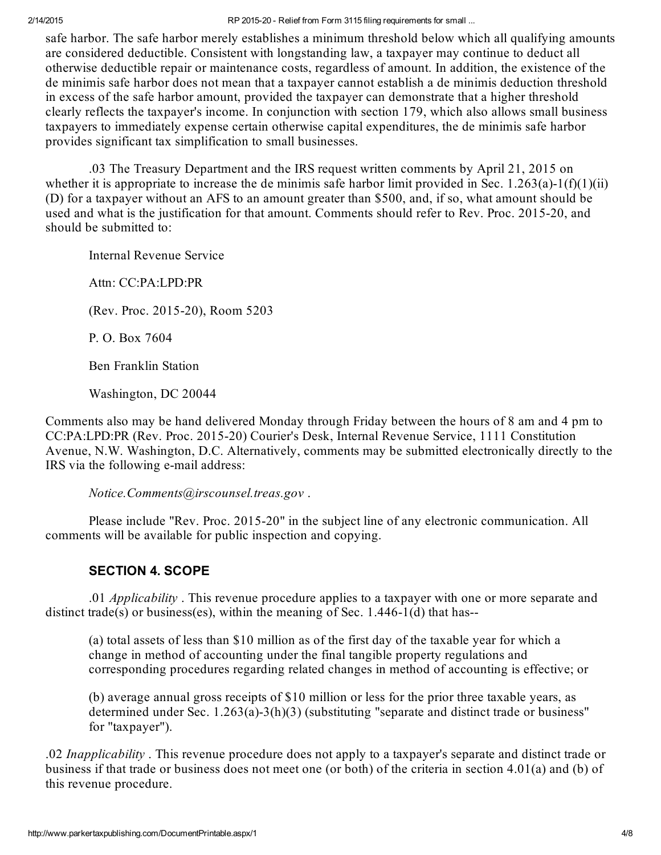safe harbor. The safe harbor merely establishes a minimum threshold below which all qualifying amounts are considered deductible. Consistent with longstanding law, a taxpayer may continue to deduct all otherwise deductible repair or maintenance costs, regardless of amount. In addition, the existence of the de minimis safe harbor does not mean that a taxpayer cannot establish a de minimis deduction threshold in excess of the safe harbor amount, provided the taxpayer can demonstrate that a higher threshold clearly reflects the taxpayer's income. In conjunction with section 179, which also allows small business taxpayers to immediately expense certain otherwise capital expenditures, the de minimis safe harbor provides significant tax simplification to small businesses.

.03 The Treasury Department and the IRS request written comments by April 21, 2015 on whether it is appropriate to increase the de minimis safe harbor limit provided in Sec.  $1.263(a)$ -1(f)(1)(ii) (D) for a taxpayer without an AFS to an amount greater than \$500, and, if so, what amount should be used and what is the justification for that amount. Comments should refer to Rev. Proc. 2015-20, and should be submitted to:

Internal Revenue Service

Attn: CC:PA:LPD:PR

(Rev. Proc. 2015-20), Room 5203

P. O. Box 7604

Ben Franklin Station

Washington, DC 20044

Comments also may be hand delivered Monday through Friday between the hours of 8 am and 4 pm to CC:PA:LPD:PR (Rev. Proc. 201520) Courier's Desk, Internal Revenue Service, 1111 Constitution Avenue, N.W. Washington, D.C. Alternatively, comments may be submitted electronically directly to the IRS via the following e-mail address:

Notice.Comments@irscounsel.treas.gov .

Please include "Rev. Proc. 2015-20" in the subject line of any electronic communication. All comments will be available for public inspection and copying.

# SECTION 4. SCOPE

.01 *Applicability*. This revenue procedure applies to a taxpayer with one or more separate and distinct trade(s) or business(es), within the meaning of Sec.  $1.446-1(d)$  that has--

(a) total assets of less than \$10 million as of the first day of the taxable year for which a change in method of accounting under the final tangible property regulations and corresponding procedures regarding related changes in method of accounting is effective; or

(b) average annual gross receipts of \$10 million or less for the prior three taxable years, as determined under Sec.  $1.263(a)-3(h)(3)$  (substituting "separate and distinct trade or business" for "taxpayer").

.02 *Inapplicability*. This revenue procedure does not apply to a taxpayer's separate and distinct trade or business if that trade or business does not meet one (or both) of the criteria in section 4.01(a) and (b) of this revenue procedure.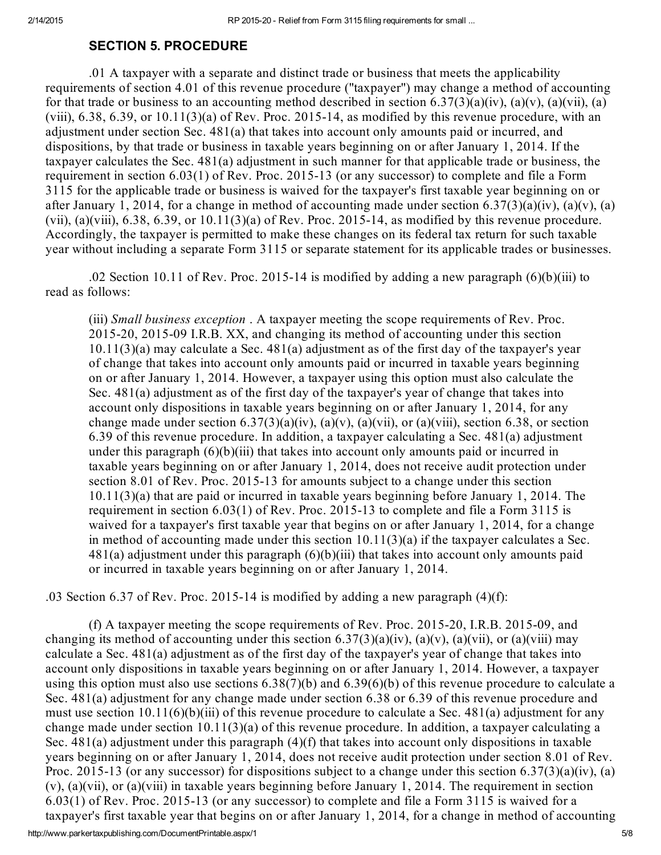#### SECTION 5. PROCEDURE

.01 A taxpayer with a separate and distinct trade or business that meets the applicability requirements of section 4.01 of this revenue procedure ("taxpayer") may change a method of accounting for that trade or business to an accounting method described in section 6.37(3)(a)(iv), (a)(v), (a)(vii), (a) (viii),  $6.38$ ,  $6.39$ , or  $10.11(3)(a)$  of Rev. Proc. 2015-14, as modified by this revenue procedure, with an adjustment under section Sec. 481(a) that takes into account only amounts paid or incurred, and dispositions, by that trade or business in taxable years beginning on or after January 1, 2014. If the taxpayer calculates the Sec. 481(a) adjustment in such manner for that applicable trade or business, the requirement in section 6.03(1) of Rev. Proc. 2015-13 (or any successor) to complete and file a Form 3115 for the applicable trade or business is waived for the taxpayer's first taxable year beginning on or after January 1, 2014, for a change in method of accounting made under section  $6.37(3)(a)(iv)$ ,  $(a)(v)$ ,  $(a)$ (vii), (a)(viii),  $6.38$ ,  $6.39$ , or  $10.11(3)$ (a) of Rev. Proc. 2015-14, as modified by this revenue procedure. Accordingly, the taxpayer is permitted to make these changes on its federal tax return for such taxable year without including a separate Form 3115 or separate statement for its applicable trades or businesses.

.02 Section 10.11 of Rev. Proc. 2015-14 is modified by adding a new paragraph  $(6)(b)(iii)$  to read as follows:

(iii) Small business exception . A taxpayer meeting the scope requirements of Rev. Proc. 2015-20, 2015-09 I.R.B. XX, and changing its method of accounting under this section 10.11(3)(a) may calculate a Sec. 481(a) adjustment as of the first day of the taxpayer's year of change that takes into account only amounts paid or incurred in taxable years beginning on or after January 1, 2014. However, a taxpayer using this option must also calculate the Sec. 481(a) adjustment as of the first day of the taxpayer's year of change that takes into account only dispositions in taxable years beginning on or after January 1, 2014, for any change made under section  $6.37(3)(a)(iv)$ ,  $(a)(v)$ ,  $(a)(vii)$ , or  $(a)(viii)$ , section 6.38, or section 6.39 of this revenue procedure. In addition, a taxpayer calculating a Sec. 481(a) adjustment under this paragraph  $(6)(b)(iii)$  that takes into account only amounts paid or incurred in taxable years beginning on or after January 1, 2014, does not receive audit protection under section 8.01 of Rev. Proc. 2015-13 for amounts subject to a change under this section 10.11(3)(a) that are paid or incurred in taxable years beginning before January 1, 2014. The requirement in section  $6.03(1)$  of Rev. Proc. 2015-13 to complete and file a Form 3115 is waived for a taxpayer's first taxable year that begins on or after January 1, 2014, for a change in method of accounting made under this section 10.11(3)(a) if the taxpayer calculates a Sec.  $481(a)$  adjustment under this paragraph  $(6)(b)(iii)$  that takes into account only amounts paid or incurred in taxable years beginning on or after January 1, 2014.

.03 Section 6.37 of Rev. Proc. 2015-14 is modified by adding a new paragraph  $(4)(f)$ :

http://www.parkertaxpublishing.com/DocumentPrintable.aspx/1 5/8 (f) A taxpayer meeting the scope requirements of Rev. Proc. 201520, I.R.B. 201509, and changing its method of accounting under this section 6.37(3)(a)(iv), (a)(v), (a)(vii), or (a)(viii) may calculate a Sec. 481(a) adjustment as of the first day of the taxpayer's year of change that takes into account only dispositions in taxable years beginning on or after January 1, 2014. However, a taxpayer using this option must also use sections 6.38(7)(b) and 6.39(6)(b) of this revenue procedure to calculate a Sec. 481(a) adjustment for any change made under section 6.38 or 6.39 of this revenue procedure and must use section 10.11(6)(b)(iii) of this revenue procedure to calculate a Sec. 481(a) adjustment for any change made under section 10.11(3)(a) of this revenue procedure. In addition, a taxpayer calculating a Sec. 481(a) adjustment under this paragraph (4)(f) that takes into account only dispositions in taxable years beginning on or after January 1, 2014, does not receive audit protection under section 8.01 of Rev. Proc. 2015-13 (or any successor) for dispositions subject to a change under this section 6.37(3)(a)(iv), (a)  $(v)$ , (a)(vii), or (a)(viii) in taxable years beginning before January 1, 2014. The requirement in section  $6.03(1)$  of Rev. Proc. 2015-13 (or any successor) to complete and file a Form 3115 is waived for a taxpayer's first taxable year that begins on or after January 1, 2014, for a change in method of accounting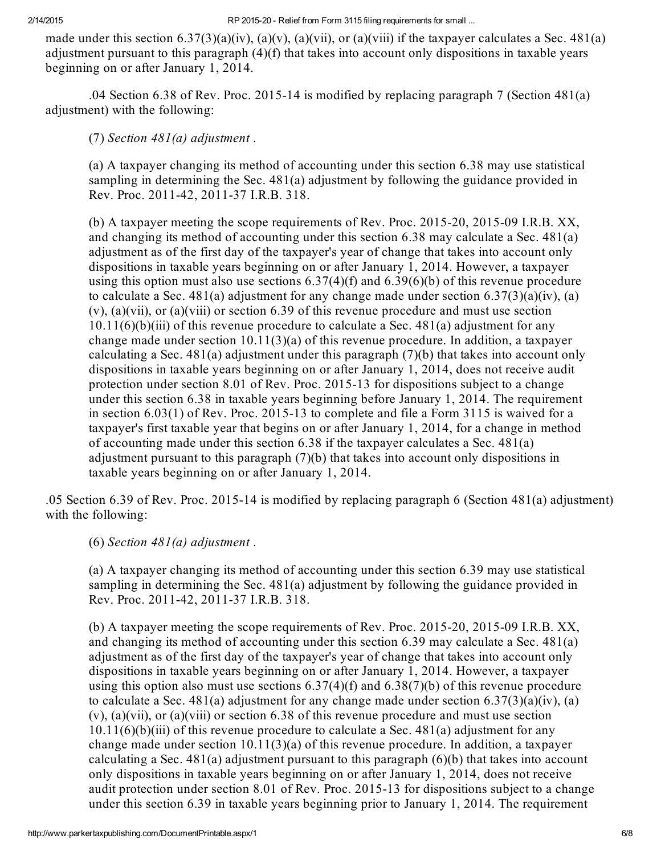made under this section  $6.37(3)(a)(iv)$ ,  $(a)(v)$ ,  $(a)(vii)$ , or  $(a)(viii)$  if the taxpayer calculates a Sec. 481(a) adjustment pursuant to this paragraph (4)(f) that takes into account only dispositions in taxable years beginning on or after January 1, 2014.

.04 Section 6.38 of Rev. Proc. 2015-14 is modified by replacing paragraph 7 (Section  $481(a)$ ) adjustment) with the following:

(7) Section  $481(a)$  adjustment.

(a) A taxpayer changing its method of accounting under this section 6.38 may use statistical sampling in determining the Sec. 481(a) adjustment by following the guidance provided in Rev. Proc. 2011-42, 2011-37 I.R.B. 318.

(b) A taxpayer meeting the scope requirements of Rev. Proc.  $2015-20$ ,  $2015-09$  I.R.B. XX, and changing its method of accounting under this section 6.38 may calculate a Sec. 481(a) adjustment as of the first day of the taxpayer's year of change that takes into account only dispositions in taxable years beginning on or after January 1, 2014. However, a taxpayer using this option must also use sections  $6.37(4)(f)$  and  $6.39(6)(b)$  of this revenue procedure to calculate a Sec. 481(a) adjustment for any change made under section  $6.37(3)(a)(iv)$ , (a) (v), (a)(vii), or (a)(viii) or section 6.39 of this revenue procedure and must use section  $10.11(6)(b)(iii)$  of this revenue procedure to calculate a Sec. 481(a) adjustment for any change made under section  $10.11(3)(a)$  of this revenue procedure. In addition, a taxpayer calculating a Sec.  $481(a)$  adjustment under this paragraph  $(7)(b)$  that takes into account only dispositions in taxable years beginning on or after January 1, 2014, does not receive audit protection under section 8.01 of Rev. Proc. 2015-13 for dispositions subject to a change under this section  $6.38$  in taxable years beginning before January 1, 2014. The requirement in section  $6.03(1)$  of Rev. Proc. 2015-13 to complete and file a Form 3115 is waived for a taxpayer's first taxable year that begins on or after January 1, 2014, for a change in method of accounting made under this section 6.38 if the taxpayer calculates a Sec. 481(a) adjustment pursuant to this paragraph (7)(b) that takes into account only dispositions in taxable years beginning on or after January 1, 2014.

.05 Section 6.39 of Rev. Proc. 201514 is modified by replacing paragraph 6 (Section 481(a) adjustment) with the following:

(6) Section  $481(a)$  adjustment.

(a) A taxpayer changing its method of accounting under this section 6.39 may use statistical sampling in determining the Sec. 481(a) adjustment by following the guidance provided in Rev. Proc. 2011-42, 2011-37 I.R.B. 318.

(b) A taxpayer meeting the scope requirements of Rev. Proc.  $2015-20$ ,  $2015-09$  I.R.B. XX, and changing its method of accounting under this section 6.39 may calculate a Sec. 481(a) adjustment as of the first day of the taxpayer's year of change that takes into account only dispositions in taxable years beginning on or after January 1, 2014. However, a taxpayer using this option also must use sections  $6.37(4)(f)$  and  $6.38(7)(b)$  of this revenue procedure to calculate a Sec. 481(a) adjustment for any change made under section  $6.37(3)(a)(iv)$ , (a) (v), (a)(vii), or (a)(viii) or section 6.38 of this revenue procedure and must use section  $10.11(6)(b)(iii)$  of this revenue procedure to calculate a Sec. 481(a) adjustment for any change made under section  $10.11(3)(a)$  of this revenue procedure. In addition, a taxpayer calculating a Sec.  $481(a)$  adjustment pursuant to this paragraph  $(6)(b)$  that takes into account only dispositions in taxable years beginning on or after January 1, 2014, does not receive audit protection under section 8.01 of Rev. Proc. 2015-13 for dispositions subject to a change under this section 6.39 in taxable years beginning prior to January 1, 2014. The requirement